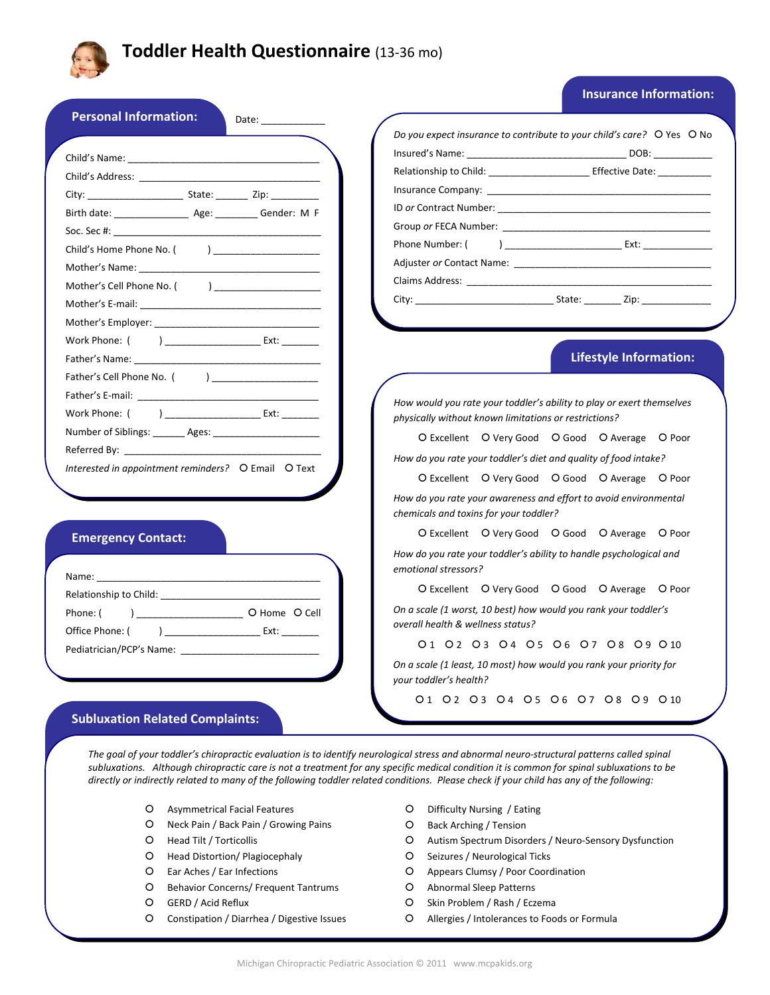

# **Toddler Health Questionnaire** (13‐36 mo)

## **Insurance Information:**

|                                                                                                                                                                                                                                | Relationship to Child: ___________________________ Effective Date: _____________                               |
|--------------------------------------------------------------------------------------------------------------------------------------------------------------------------------------------------------------------------------|----------------------------------------------------------------------------------------------------------------|
|                                                                                                                                                                                                                                | Insurance Company: Note that the state of the state of the state of the state of the state of the state of the |
|                                                                                                                                                                                                                                |                                                                                                                |
|                                                                                                                                                                                                                                |                                                                                                                |
|                                                                                                                                                                                                                                |                                                                                                                |
|                                                                                                                                                                                                                                |                                                                                                                |
| Mother's Cell Phone No. ( ) _____________________                                                                                                                                                                              |                                                                                                                |
|                                                                                                                                                                                                                                |                                                                                                                |
|                                                                                                                                                                                                                                |                                                                                                                |
|                                                                                                                                                                                                                                |                                                                                                                |
|                                                                                                                                                                                                                                | <b>Lifestyle Information:</b>                                                                                  |
| Father's Cell Phone No. ( )                                                                                                                                                                                                    |                                                                                                                |
| Father's E-mail: The contract of the contract of the contract of the contract of the contract of the contract of the contract of the contract of the contract of the contract of the contract of the contract of the contract  | How would you rate your toddler's ability to play or exert themselves                                          |
| Work Phone: ( ) Ext:                                                                                                                                                                                                           | physically without known limitations or restrictions?                                                          |
| Number of Siblings: _______ Ages: ________________________                                                                                                                                                                     | O Excellent O Very Good O Good O Average O Poor                                                                |
|                                                                                                                                                                                                                                | How do you rate your toddler's diet and quality of food intake?                                                |
| Interested in appointment reminders? O Email O Text                                                                                                                                                                            | O Excellent O Very Good O Good O Average O Poor                                                                |
|                                                                                                                                                                                                                                |                                                                                                                |
|                                                                                                                                                                                                                                | How do you rate your awareness and effort to avoid environmental<br>chemicals and toxins for your toddler?     |
|                                                                                                                                                                                                                                | O Excellent O Very Good O Good O Average O Poor                                                                |
| <b>Emergency Contact:</b>                                                                                                                                                                                                      | How do you rate your toddler's ability to handle psychological and                                             |
|                                                                                                                                                                                                                                | emotional stressors?                                                                                           |
| Name: Name and the state of the state of the state of the state of the state of the state of the state of the state of the state of the state of the state of the state of the state of the state of the state of the state of | O Excellent O Very Good O Good O Average O Poor                                                                |
|                                                                                                                                                                                                                                | On a scale (1 worst, 10 best) how would you rank your toddler's                                                |
| Office Phone: ( ) ____________________________ Ext: _________                                                                                                                                                                  | overall health & wellness status?                                                                              |
|                                                                                                                                                                                                                                | 01 02 03 04 05 06 07 08 09 010                                                                                 |
|                                                                                                                                                                                                                                | On a scale (1 least, 10 most) how would you rank your priority for<br>your toddler's health?                   |
|                                                                                                                                                                                                                                | 01 02 03 04 05 06 07 08 09 010                                                                                 |

The goal of your toddler's chiropractic evaluation is to identify neurological stress and abnormal neuro-structural patterns called spinal subluxations. Although chiropractic care is not a treatment for any specific medical condition it is common for spinal subluxations to be directly or indirectly related to many of the following toddler related conditions. Please check if your child has any of the following:

- | Asymmetrical Facial Features
- | Neck Pain / Back Pain / Growing Pains
- O Head Tilt / Torticollis
- | Head Distortion/ Plagiocephaly
- | Ear Aches / Ear Infections
- | Behavior Concerns/ Frequent Tantrums
- O GERD / Acid Reflux
- O Constipation / Diarrhea / Digestive Issues
- O Difficulty Nursing / Eating
- | Back Arching / Tension
- O Autism Spectrum Disorders / Neuro-Sensory Dysfunction
- O Seizures / Neurological Ticks
- O Appears Clumsy / Poor Coordination
- O Abnormal Sleep Patterns
- O Skin Problem / Rash / Eczema
- | Allergies / Intolerances to Foods or Formula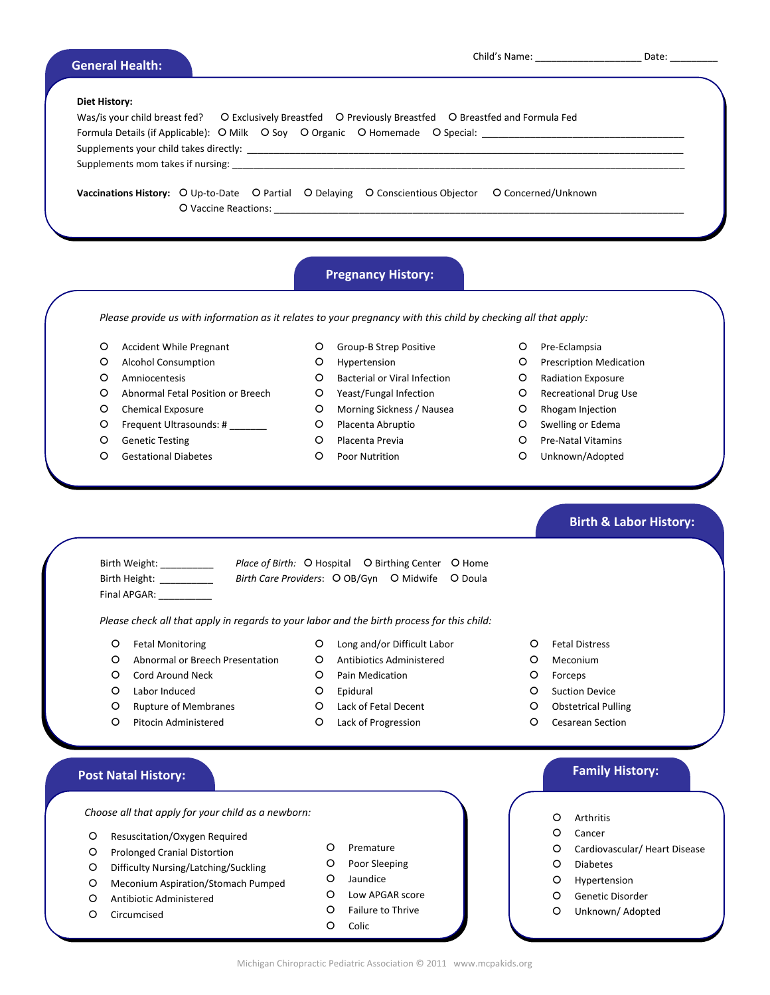| <b>General Health:</b> |                                                                                                                                                                                           | Date: |
|------------------------|-------------------------------------------------------------------------------------------------------------------------------------------------------------------------------------------|-------|
| <b>Diet History:</b>   | Was/is your child breast fed? O Exclusively Breastfed O Previously Breastfed O Breastfed and Formula Fed<br>Formula Details (if Applicable): O Milk O Soy O Organic O Homemade O Special: |       |
|                        |                                                                                                                                                                                           |       |
|                        | <b>Vaccinations History:</b> O Up-to-Date O Partial O Delaying O Conscientious Objector O Concerned/Unknown                                                                               |       |

# **Pregnancy History:**

Please provide us with information as it relates to your pregnancy with this child by checking all that apply:

- O Accident While Pregnant
- | Alcohol Consumption
- O Amniocentesis
- | Abnormal Fetal Position or Breech
- O Chemical Exposure
- O Frequent Ultrasounds: # \_\_\_\_\_\_\_
- O Genetic Testing
- O Gestational Diabetes
- O Group-B Strep Positive
- O Hypertension
- O Bacterial or Viral Infection
- | Yeast/Fungal Infection
- O Morning Sickness / Nausea
- O Placenta Abruptio
- O Placenta Previa
- O Poor Nutrition
- O Pre-Eclampsia
- O Prescription Medication
- | Radiation Exposure
- | Recreational Drug Use
- O Rhogam Injection
- O Swelling or Edema
- O Pre-Natal Vitamins
- O Unknown/Adopted

- Final APGAR:
- Birth Weight: Place of Birth: O Hospital O Birthing Center O Home Birth Height: \_\_\_\_\_\_\_\_\_\_\_ Birth Care Providers: O OB/Gyn O Midwife O Doula

*Please check all that apply in regards to your labor and the birth process for this child:*

| Fetal Monitoring

- | Long and/or Difficult Labor O Antibiotics Administered
- | Abnormal or Breech Presentation
- O Cord Around Neck | Labor Induced
- O Pain Medication
- | Epidural
- O Rupture of Membranes O Pitocin Administered
- | Lack of Fetal Decent | Lack of Progression
- 
- | Fetal Distress
- O Meconium
- | Forceps
- O Suction Device
- O Obstetrical Pulling
- O Cesarean Section

*Choose all* that *apply* for your child as a newborn:  $\begin{pmatrix} 0 & 0 \end{pmatrix}$  Arthritis

- O Resuscitation/Oxygen Required
- O Prolonged Cranial Distortion
- | Difficulty Nursing/Latching/Suckling
- | Meconium Aspiration/Stomach Pumped
- O Antibiotic Administered
- O Circumcised
- O Poor Sleeping O Jaundice
	- | Low APGAR score
	- | Failure to Thrive

O Premature

O Colic

# **Family History: Post Natal History:**

 **Birth & Labor History:**

- 
- O Cancer
- O Cardiovascular/ Heart Disease
- | Diabetes
- O Hypertension
- O Genetic Disorder
- O Unknown/ Adopted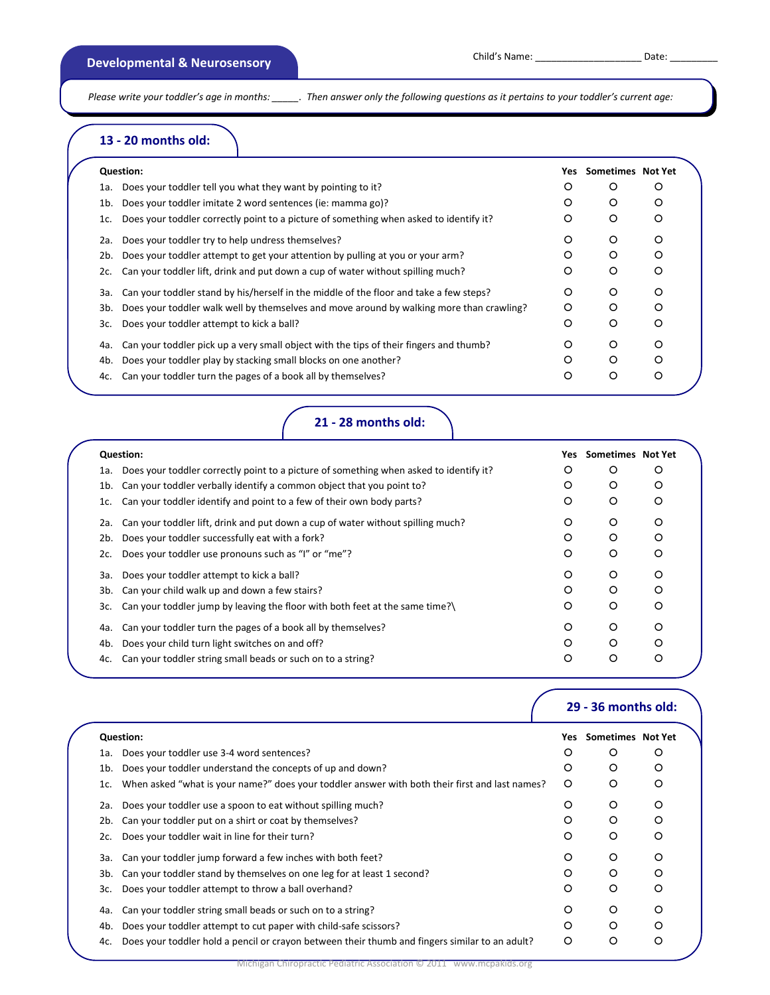Please write your toddler's age in months: \_\_\_\_\_\_. Then answer only the following questions as it pertains to your toddler's current age:

# **13 ‐ 20 months old:**

|     | <b>Question:</b>                                                                         | Yes     | Sometimes Not Yet |   |  |
|-----|------------------------------------------------------------------------------------------|---------|-------------------|---|--|
| 1a. | Does your toddler tell you what they want by pointing to it?                             | O       | O                 | O |  |
| 1b. | Does your toddler imitate 2 word sentences (ie: mamma go)?                               | O       | O                 | O |  |
| 1c. | Does your toddler correctly point to a picture of something when asked to identify it?   | $\circ$ | O                 | O |  |
| 2a. | Does your toddler try to help undress themselves?                                        | O       | $\circ$           | O |  |
| 2b. | Does your toddler attempt to get your attention by pulling at you or your arm?           | O       | O                 | O |  |
| 2c. | Can your toddler lift, drink and put down a cup of water without spilling much?          | O       | O                 | O |  |
| За. | Can your toddler stand by his/herself in the middle of the floor and take a few steps?   | $\circ$ | O                 | O |  |
| 3b. | Does your toddler walk well by themselves and move around by walking more than crawling? | $\circ$ | O                 | O |  |
| 3с. | Does your toddler attempt to kick a ball?                                                | O       | O                 | O |  |
| 4a. | Can your toddler pick up a very small object with the tips of their fingers and thumb?   | O       | O                 | O |  |
| 4b. | Does your toddler play by stacking small blocks on one another?                          | O       | ∩                 | റ |  |
| 4c. | Can your toddler turn the pages of a book all by themselves?                             | O       | O                 | O |  |
|     |                                                                                          |         |                   |   |  |

**21 ‐ 28 months old:**

|     | <b>Question:</b>                                                                       | Yes     | Sometimes Not Yet |   |  |
|-----|----------------------------------------------------------------------------------------|---------|-------------------|---|--|
| 1a. | Does your toddler correctly point to a picture of something when asked to identify it? | O       | O                 | O |  |
| 1b. | Can your toddler verbally identify a common object that you point to?                  | O       | O                 | O |  |
| 1c. | Can your toddler identify and point to a few of their own body parts?                  | O       | O                 | O |  |
| 2a. | Can your toddler lift, drink and put down a cup of water without spilling much?        | O       | O                 | O |  |
| 2b. | Does your toddler successfully eat with a fork?                                        | $\circ$ | O                 | O |  |
| 2c. | Does your toddler use pronouns such as "I" or "me"?                                    | O       | O                 | O |  |
| 3a. | Does your toddler attempt to kick a ball?                                              | $\circ$ | O                 | O |  |
| 3b. | Can your child walk up and down a few stairs?                                          | O       | O                 | O |  |
| 3c. | Can your toddler jump by leaving the floor with both feet at the same time?\           | O       | O                 | O |  |
| 4a. | Can your toddler turn the pages of a book all by themselves?                           | O       | O                 | O |  |
| 4b. | Does your child turn light switches on and off?                                        | O       | O                 | O |  |
| 4c. | Can your toddler string small beads or such on to a string?                            | O       | O                 | O |  |

|     |                                                                                                |     | 29 - 36 months old: |         |  |
|-----|------------------------------------------------------------------------------------------------|-----|---------------------|---------|--|
|     | <b>Question:</b>                                                                               | Yes | Sometimes Not Yet   |         |  |
| 1a. | Does your toddler use 3-4 word sentences?                                                      | O   | O                   | O       |  |
| 1b. | Does your toddler understand the concepts of up and down?                                      | O   | O                   | O       |  |
| 1c. | When asked "what is your name?" does your toddler answer with both their first and last names? | O   | O                   | O       |  |
| 2a. | Does your toddler use a spoon to eat without spilling much?                                    | O   | O                   | O       |  |
| 2b. | Can your toddler put on a shirt or coat by themselves?                                         | O   | O                   | O       |  |
| 2c. | Does your toddler wait in line for their turn?                                                 | O   | O                   | O       |  |
| За. | Can your toddler jump forward a few inches with both feet?                                     | O   | $\circ$             | $\circ$ |  |
| 3b. | Can your toddler stand by themselves on one leg for at least 1 second?                         | O   | O                   | O       |  |
| 3c. | Does your toddler attempt to throw a ball overhand?                                            | O   | O                   | O       |  |
| 4a. | Can your toddler string small beads or such on to a string?                                    | O   | O                   | O       |  |
| 4b. | Does your toddler attempt to cut paper with child-safe scissors?                               | O   | $\circ$             | O       |  |
| 4c. | Does your toddler hold a pencil or crayon between their thumb and fingers similar to an adult? | O   | O                   | O       |  |
|     |                                                                                                |     |                     |         |  |